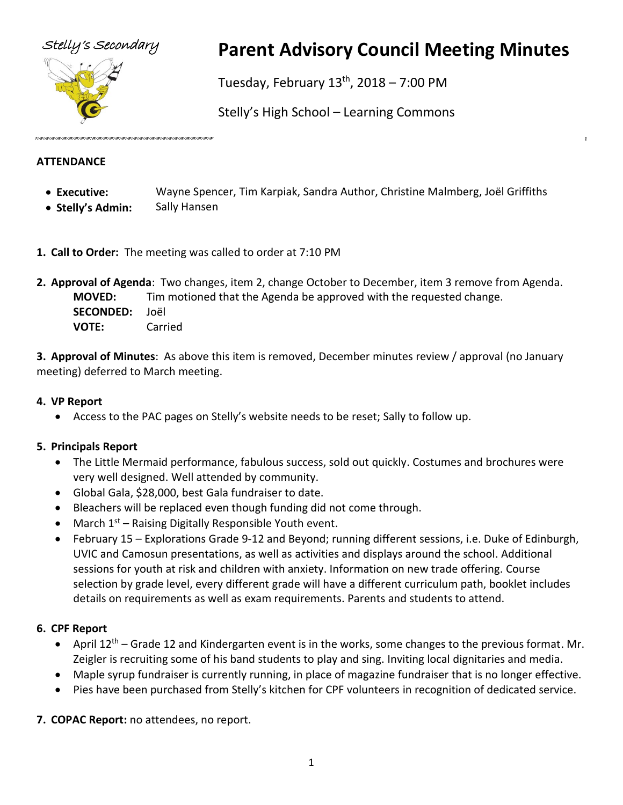

# Stelly's Secondary **Parent Advisory Council Meeting Minutes**

Tuesday, February  $13<sup>th</sup>$ , 2018 – 7:00 PM

Stelly's High School – Learning Commons

#### **ATTENDANCE**

- **Executive:** Wayne Spencer, Tim Karpiak, Sandra Author, Christine Malmberg, Joël Griffiths
- **Stelly's Admin:** Sally Hansen
- **1. Call to Order:** The meeting was called to order at 7:10 PM
- **2. Approval of Agenda**: Two changes, item 2, change October to December, item 3 remove from Agenda. **MOVED:** Tim motioned that the Agenda be approved with the requested change. **SECONDED:** Joël **VOTE:** Carried

**3. Approval of Minutes**: As above this item is removed, December minutes review / approval (no January meeting) deferred to March meeting.

## **4. VP Report**

• Access to the PAC pages on Stelly's website needs to be reset; Sally to follow up.

# **5. Principals Report**

- The Little Mermaid performance, fabulous success, sold out quickly. Costumes and brochures were very well designed. Well attended by community.
- Global Gala, \$28,000, best Gala fundraiser to date.
- Bleachers will be replaced even though funding did not come through.
- March  $1<sup>st</sup>$  Raising Digitally Responsible Youth event.
- February 15 Explorations Grade 9-12 and Beyond; running different sessions, i.e. Duke of Edinburgh, UVIC and Camosun presentations, as well as activities and displays around the school. Additional sessions for youth at risk and children with anxiety. Information on new trade offering. Course selection by grade level, every different grade will have a different curriculum path, booklet includes details on requirements as well as exam requirements. Parents and students to attend.

# **6. CPF Report**

- April 12<sup>th</sup> Grade 12 and Kindergarten event is in the works, some changes to the previous format. Mr. Zeigler is recruiting some of his band students to play and sing. Inviting local dignitaries and media.
- Maple syrup fundraiser is currently running, in place of magazine fundraiser that is no longer effective.
- Pies have been purchased from Stelly's kitchen for CPF volunteers in recognition of dedicated service.

**7. COPAC Report:** no attendees, no report.